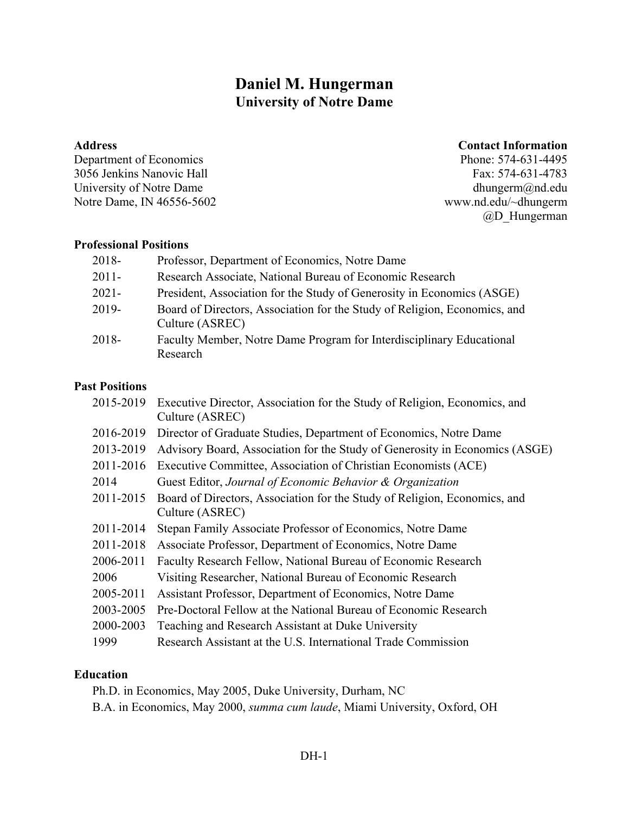# **Daniel M. Hungerman University of Notre Dame**

#### **Address**

Department of Economics 3056 Jenkins Nanovic Hall University of Notre Dame Notre Dame, IN 46556-5602

### **Contact Information**

Phone: 574-631-4495 Fax: 574-631-4783 dhungerm@nd.edu www.nd.edu/~dhungerm @D\_Hungerman

### **Professional Positions**

| 2018-    | Professor, Department of Economics, Notre Dame                                               |
|----------|----------------------------------------------------------------------------------------------|
| $2011 -$ | Research Associate, National Bureau of Economic Research                                     |
| $2021 -$ | President, Association for the Study of Generosity in Economics (ASGE)                       |
| 2019-    | Board of Directors, Association for the Study of Religion, Economics, and<br>Culture (ASREC) |
| 2018-    | Faculty Member, Notre Dame Program for Interdisciplinary Educational<br>Research             |

#### **Past Positions**

| 2015-2019 | Executive Director, Association for the Study of Religion, Economics, and<br>Culture (ASREC) |
|-----------|----------------------------------------------------------------------------------------------|
| 2016-2019 | Director of Graduate Studies, Department of Economics, Notre Dame                            |
| 2013-2019 | Advisory Board, Association for the Study of Generosity in Economics (ASGE)                  |
| 2011-2016 | Executive Committee, Association of Christian Economists (ACE)                               |
| 2014      | Guest Editor, Journal of Economic Behavior & Organization                                    |
| 2011-2015 | Board of Directors, Association for the Study of Religion, Economics, and<br>Culture (ASREC) |
| 2011-2014 | Stepan Family Associate Professor of Economics, Notre Dame                                   |
| 2011-2018 | Associate Professor, Department of Economics, Notre Dame                                     |
| 2006-2011 | Faculty Research Fellow, National Bureau of Economic Research                                |
| 2006      | Visiting Researcher, National Bureau of Economic Research                                    |
| 2005-2011 | Assistant Professor, Department of Economics, Notre Dame                                     |
| 2003-2005 | Pre-Doctoral Fellow at the National Bureau of Economic Research                              |
| 2000-2003 | Teaching and Research Assistant at Duke University                                           |
| 1999      | Research Assistant at the U.S. International Trade Commission                                |

### **Education**

Ph.D. in Economics, May 2005, Duke University, Durham, NC B.A. in Economics, May 2000, *summa cum laude*, Miami University, Oxford, OH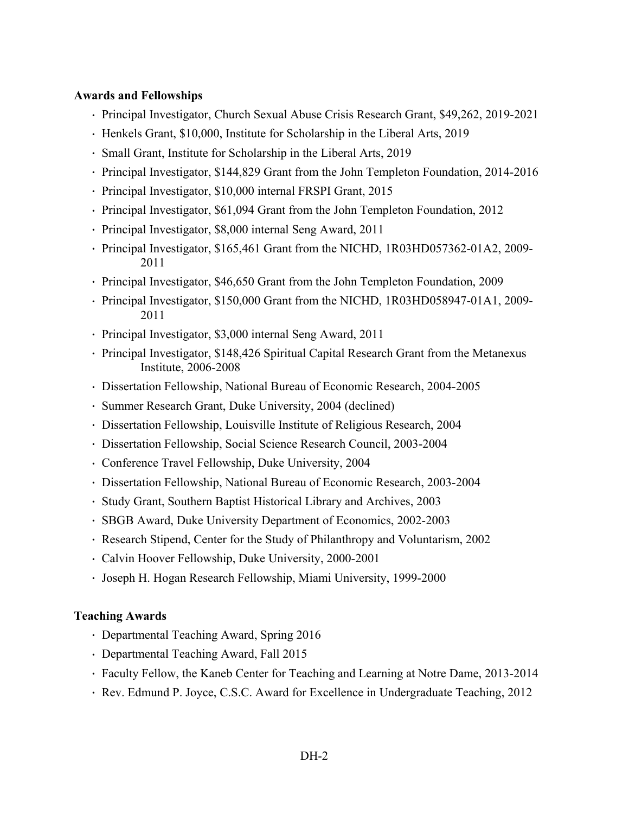### **Awards and Fellowships**

- Principal Investigator, Church Sexual Abuse Crisis Research Grant, \$49,262, 2019-2021
- Henkels Grant, \$10,000, Institute for Scholarship in the Liberal Arts, 2019
- Small Grant, Institute for Scholarship in the Liberal Arts, 2019
- Principal Investigator, \$144,829 Grant from the John Templeton Foundation, 2014-2016
- Principal Investigator, \$10,000 internal FRSPI Grant, 2015
- Principal Investigator, \$61,094 Grant from the John Templeton Foundation, 2012
- Principal Investigator, \$8,000 internal Seng Award, 2011
- Principal Investigator, \$165,461 Grant from the NICHD, 1R03HD057362-01A2, 2009- 2011
- Principal Investigator, \$46,650 Grant from the John Templeton Foundation, 2009
- Principal Investigator, \$150,000 Grant from the NICHD, 1R03HD058947-01A1, 2009- 2011
- Principal Investigator, \$3,000 internal Seng Award, 2011
- Principal Investigator, \$148,426 Spiritual Capital Research Grant from the Metanexus Institute, 2006-2008
- Dissertation Fellowship, National Bureau of Economic Research, 2004-2005
- Summer Research Grant, Duke University, 2004 (declined)
- Dissertation Fellowship, Louisville Institute of Religious Research, 2004
- Dissertation Fellowship, Social Science Research Council, 2003-2004
- Conference Travel Fellowship, Duke University, 2004
- Dissertation Fellowship, National Bureau of Economic Research, 2003-2004
- Study Grant, Southern Baptist Historical Library and Archives, 2003
- SBGB Award, Duke University Department of Economics, 2002-2003
- Research Stipend, Center for the Study of Philanthropy and Voluntarism, 2002
- Calvin Hoover Fellowship, Duke University, 2000-2001
- Joseph H. Hogan Research Fellowship, Miami University, 1999-2000

#### **Teaching Awards**

- Departmental Teaching Award, Spring 2016
- Departmental Teaching Award, Fall 2015
- Faculty Fellow, the Kaneb Center for Teaching and Learning at Notre Dame, 2013-2014
- Rev. Edmund P. Joyce, C.S.C. Award for Excellence in Undergraduate Teaching, 2012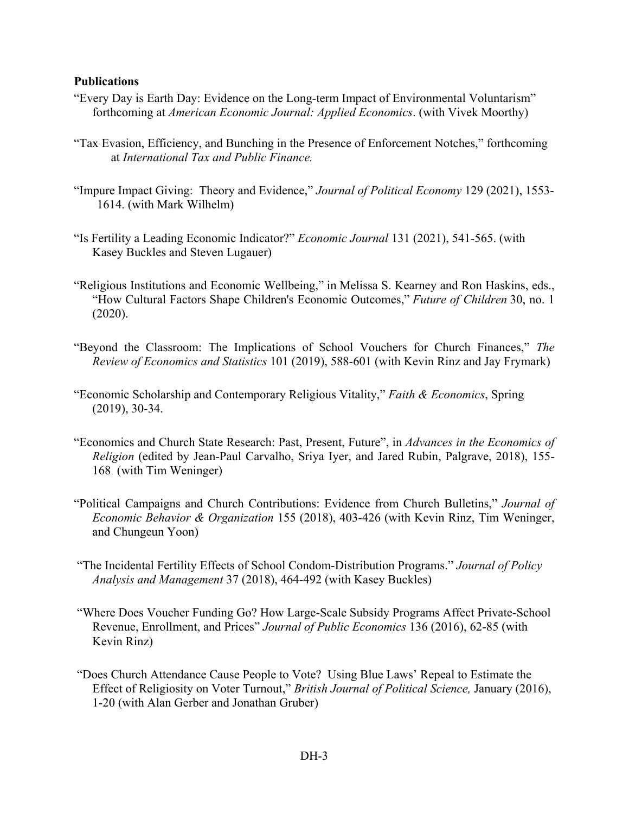#### **Publications**

- "Every Day is Earth Day: Evidence on the Long-term Impact of Environmental Voluntarism" forthcoming at *American Economic Journal: Applied Economics*. (with Vivek Moorthy)
- "Tax Evasion, Efficiency, and Bunching in the Presence of Enforcement Notches," forthcoming at *International Tax and Public Finance.*
- "Impure Impact Giving: Theory and Evidence," *Journal of Political Economy* 129 (2021), 1553- 1614. (with Mark Wilhelm)
- "Is Fertility a Leading Economic Indicator?" *Economic Journal* 131 (2021), 541-565. (with Kasey Buckles and Steven Lugauer)
- "Religious Institutions and Economic Wellbeing," in Melissa S. Kearney and Ron Haskins, eds., "How Cultural Factors Shape Children's Economic Outcomes," *Future of Children* 30, no. 1 (2020).
- "Beyond the Classroom: The Implications of School Vouchers for Church Finances," *The Review of Economics and Statistics* 101 (2019), 588-601 (with Kevin Rinz and Jay Frymark)
- "Economic Scholarship and Contemporary Religious Vitality," *Faith & Economics*, Spring (2019), 30-34.
- "Economics and Church State Research: Past, Present, Future", in *Advances in the Economics of Religion* (edited by Jean-Paul Carvalho, Sriya Iyer, and Jared Rubin, Palgrave, 2018), 155- 168 (with Tim Weninger)
- "Political Campaigns and Church Contributions: Evidence from Church Bulletins," *Journal of Economic Behavior & Organization* 155 (2018), 403-426 (with Kevin Rinz, Tim Weninger, and Chungeun Yoon)
- "The Incidental Fertility Effects of School Condom-Distribution Programs." *Journal of Policy Analysis and Management* 37 (2018), 464-492 (with Kasey Buckles)
- "Where Does Voucher Funding Go? How Large-Scale Subsidy Programs Affect Private-School Revenue, Enrollment, and Prices" *Journal of Public Economics* 136 (2016), 62-85 (with Kevin Rinz)
- "Does Church Attendance Cause People to Vote? Using Blue Laws' Repeal to Estimate the Effect of Religiosity on Voter Turnout," *British Journal of Political Science,* January (2016), 1-20 (with Alan Gerber and Jonathan Gruber)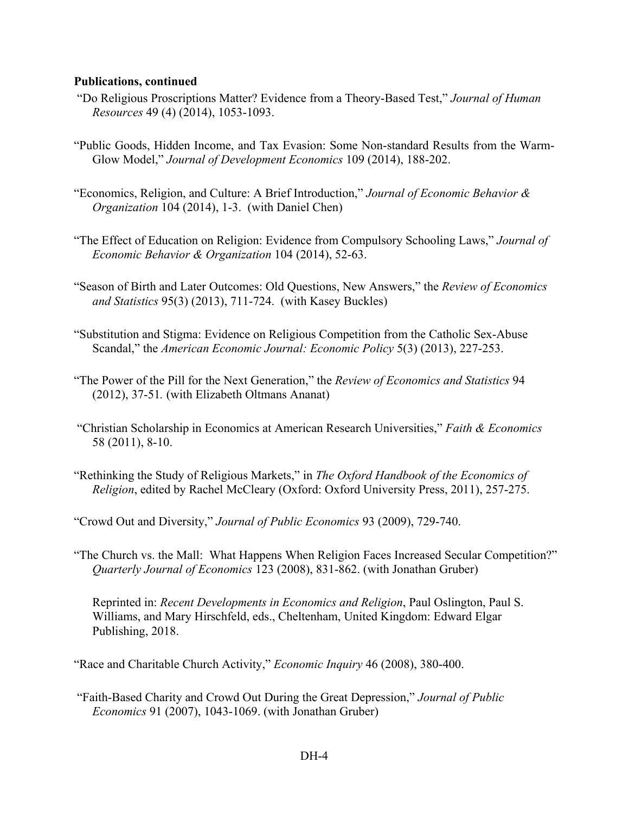#### **Publications, continued**

- "Do Religious Proscriptions Matter? Evidence from a Theory-Based Test," *Journal of Human Resources* 49 (4) (2014), 1053-1093.
- "Public Goods, Hidden Income, and Tax Evasion: Some Non-standard Results from the Warm-Glow Model," *Journal of Development Economics* 109 (2014), 188-202.
- "Economics, Religion, and Culture: A Brief Introduction," *Journal of Economic Behavior & Organization* 104 (2014), 1-3. (with Daniel Chen)
- "The Effect of Education on Religion: Evidence from Compulsory Schooling Laws," *Journal of Economic Behavior & Organization* 104 (2014), 52-63.
- "Season of Birth and Later Outcomes: Old Questions, New Answers," the *Review of Economics and Statistics* 95(3) (2013), 711-724. (with Kasey Buckles)
- "Substitution and Stigma: Evidence on Religious Competition from the Catholic Sex-Abuse Scandal," the *American Economic Journal: Economic Policy* 5(3) (2013), 227-253.
- "The Power of the Pill for the Next Generation," the *Review of Economics and Statistics* 94 (2012), 37-51*.* (with Elizabeth Oltmans Ananat)
- "Christian Scholarship in Economics at American Research Universities," *Faith & Economics* 58 (2011), 8-10.
- "Rethinking the Study of Religious Markets," in *The Oxford Handbook of the Economics of Religion*, edited by Rachel McCleary (Oxford: Oxford University Press, 2011), 257-275.

"Crowd Out and Diversity," *Journal of Public Economics* 93 (2009), 729-740.

"The Church vs. the Mall: What Happens When Religion Faces Increased Secular Competition?" *Quarterly Journal of Economics* 123 (2008), 831-862. (with Jonathan Gruber)

Reprinted in: *Recent Developments in Economics and Religion*, Paul Oslington, Paul S. Williams, and Mary Hirschfeld, eds., Cheltenham, United Kingdom: Edward Elgar Publishing, 2018.

"Race and Charitable Church Activity," *Economic Inquiry* 46 (2008), 380-400.

"Faith-Based Charity and Crowd Out During the Great Depression," *Journal of Public Economics* 91 (2007), 1043-1069. (with Jonathan Gruber)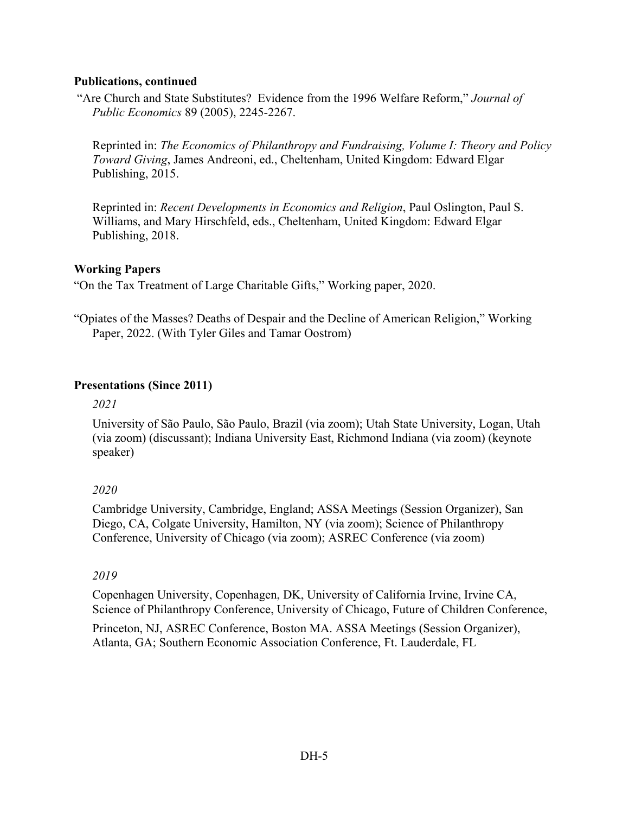### **Publications, continued**

"Are Church and State Substitutes? Evidence from the 1996 Welfare Reform," *Journal of Public Economics* 89 (2005), 2245-2267.

Reprinted in: *The Economics of Philanthropy and Fundraising, Volume I: Theory and Policy Toward Giving*, James Andreoni, ed., Cheltenham, United Kingdom: Edward Elgar Publishing, 2015.

Reprinted in: *Recent Developments in Economics and Religion*, Paul Oslington, Paul S. Williams, and Mary Hirschfeld, eds., Cheltenham, United Kingdom: Edward Elgar Publishing, 2018.

### **Working Papers**

"On the Tax Treatment of Large Charitable Gifts," Working paper, 2020.

"Opiates of the Masses? Deaths of Despair and the Decline of American Religion," Working Paper, 2022. (With Tyler Giles and Tamar Oostrom)

### **Presentations (Since 2011)**

*2021*

University of São Paulo, São Paulo, Brazil (via zoom); Utah State University, Logan, Utah (via zoom) (discussant); Indiana University East, Richmond Indiana (via zoom) (keynote speaker)

### *2020*

Cambridge University, Cambridge, England; ASSA Meetings (Session Organizer), San Diego, CA, Colgate University, Hamilton, NY (via zoom); Science of Philanthropy Conference, University of Chicago (via zoom); ASREC Conference (via zoom)

### *2019*

Copenhagen University, Copenhagen, DK, University of California Irvine, Irvine CA, Science of Philanthropy Conference, University of Chicago, Future of Children Conference,

Princeton, NJ, ASREC Conference, Boston MA. ASSA Meetings (Session Organizer), Atlanta, GA; Southern Economic Association Conference, Ft. Lauderdale, FL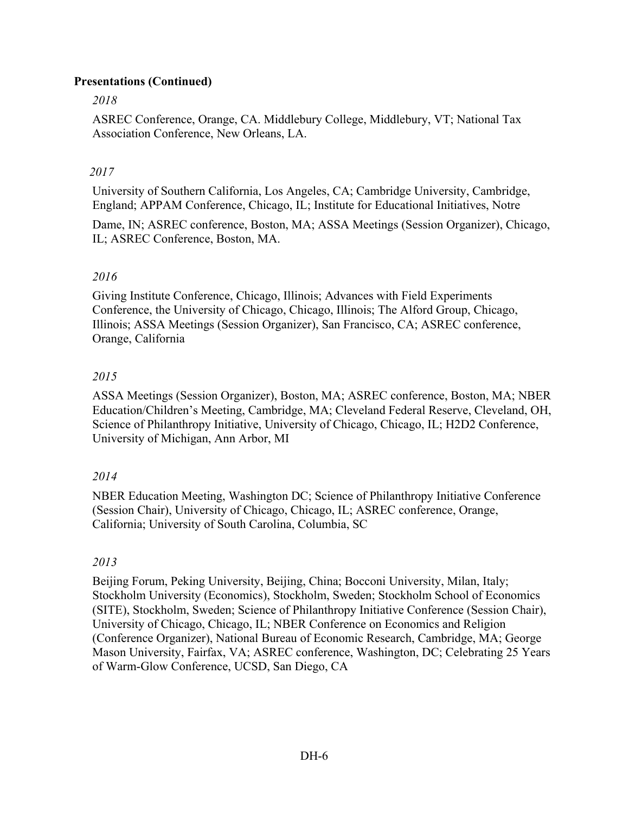# **Presentations (Continued)**

# *2018*

ASREC Conference, Orange, CA. Middlebury College, Middlebury, VT; National Tax Association Conference, New Orleans, LA.

# *2017*

University of Southern California, Los Angeles, CA; Cambridge University, Cambridge, England; APPAM Conference, Chicago, IL; Institute for Educational Initiatives, Notre Dame, IN; ASREC conference, Boston, MA; ASSA Meetings (Session Organizer), Chicago, IL; ASREC Conference, Boston, MA.

# *2016*

Giving Institute Conference, Chicago, Illinois; Advances with Field Experiments Conference, the University of Chicago, Chicago, Illinois; The Alford Group, Chicago, Illinois; ASSA Meetings (Session Organizer), San Francisco, CA; ASREC conference, Orange, California

# *2015*

ASSA Meetings (Session Organizer), Boston, MA; ASREC conference, Boston, MA; NBER Education/Children's Meeting, Cambridge, MA; Cleveland Federal Reserve, Cleveland, OH, Science of Philanthropy Initiative, University of Chicago, Chicago, IL; H2D2 Conference, University of Michigan, Ann Arbor, MI

# *2014*

NBER Education Meeting, Washington DC; Science of Philanthropy Initiative Conference (Session Chair), University of Chicago, Chicago, IL; ASREC conference, Orange, California; University of South Carolina, Columbia, SC

# *2013*

Beijing Forum, Peking University, Beijing, China; Bocconi University, Milan, Italy; Stockholm University (Economics), Stockholm, Sweden; Stockholm School of Economics (SITE), Stockholm, Sweden; Science of Philanthropy Initiative Conference (Session Chair), University of Chicago, Chicago, IL; NBER Conference on Economics and Religion (Conference Organizer), National Bureau of Economic Research, Cambridge, MA; George Mason University, Fairfax, VA; ASREC conference, Washington, DC; Celebrating 25 Years of Warm-Glow Conference, UCSD, San Diego, CA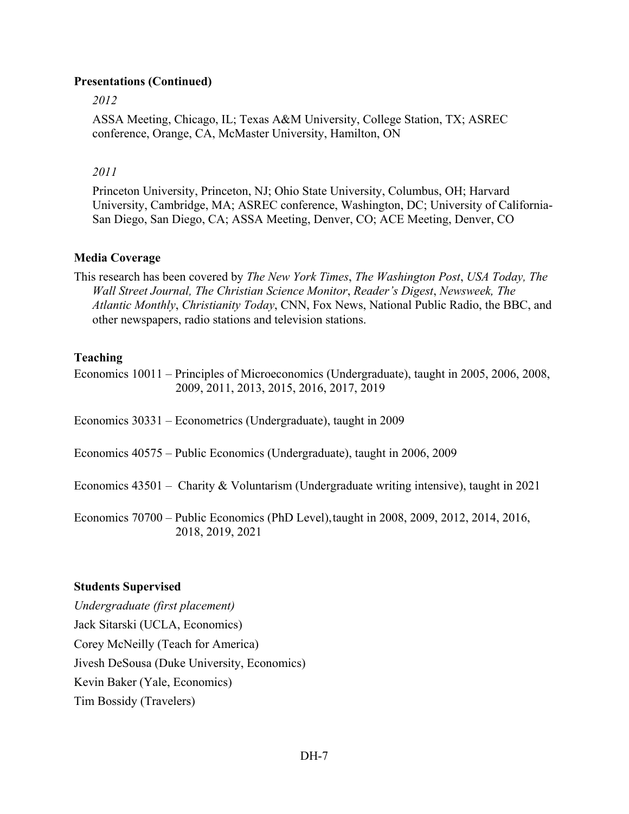### **Presentations (Continued)**

*2012*

ASSA Meeting, Chicago, IL; Texas A&M University, College Station, TX; ASREC conference, Orange, CA, McMaster University, Hamilton, ON

### *2011*

Princeton University, Princeton, NJ; Ohio State University, Columbus, OH; Harvard University, Cambridge, MA; ASREC conference, Washington, DC; University of California-San Diego, San Diego, CA; ASSA Meeting, Denver, CO; ACE Meeting, Denver, CO

### **Media Coverage**

This research has been covered by *The New York Times*, *The Washington Post*, *USA Today, The Wall Street Journal, The Christian Science Monitor*, *Reader's Digest*, *Newsweek, The Atlantic Monthly*, *Christianity Today*, CNN, Fox News, National Public Radio, the BBC, and other newspapers, radio stations and television stations.

### **Teaching**

Economics 10011 – Principles of Microeconomics (Undergraduate), taught in 2005, 2006, 2008, 2009, 2011, 2013, 2015, 2016, 2017, 2019

Economics 30331 – Econometrics (Undergraduate), taught in 2009

Economics 40575 – Public Economics (Undergraduate), taught in 2006, 2009

Economics 43501 – Charity & Voluntarism (Undergraduate writing intensive), taught in 2021

Economics 70700 – Public Economics (PhD Level),taught in 2008, 2009, 2012, 2014, 2016, 2018, 2019, 2021

#### **Students Supervised**

*Undergraduate (first placement)* Jack Sitarski (UCLA, Economics) Corey McNeilly (Teach for America) Jivesh DeSousa (Duke University, Economics) Kevin Baker (Yale, Economics) Tim Bossidy (Travelers)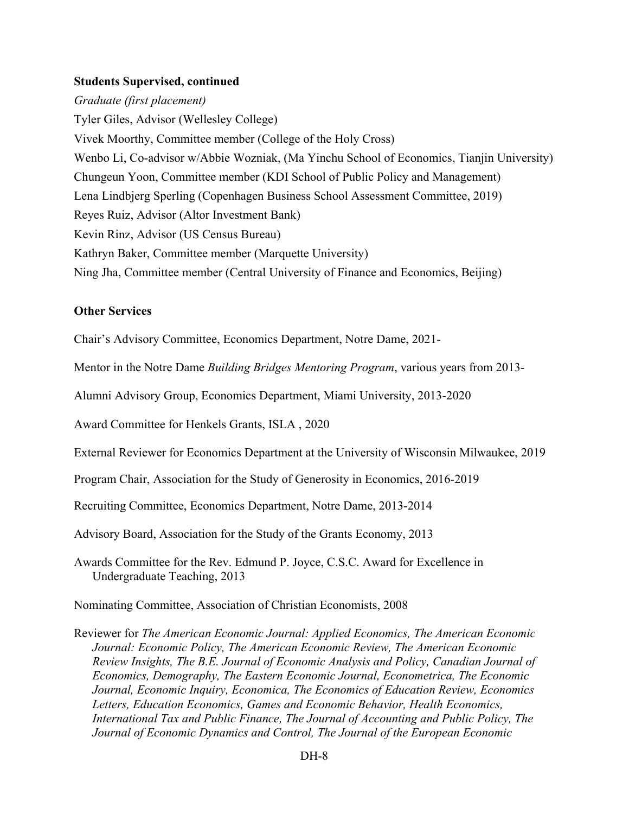#### **Students Supervised, continued**

*Graduate (first placement)* Tyler Giles, Advisor (Wellesley College) Vivek Moorthy, Committee member (College of the Holy Cross) Wenbo Li, Co-advisor w/Abbie Wozniak, (Ma Yinchu School of Economics, Tianjin University) Chungeun Yoon, Committee member (KDI School of Public Policy and Management) Lena Lindbjerg Sperling (Copenhagen Business School Assessment Committee, 2019) Reyes Ruiz, Advisor (Altor Investment Bank) Kevin Rinz, Advisor (US Census Bureau) Kathryn Baker, Committee member (Marquette University) Ning Jha, Committee member (Central University of Finance and Economics, Beijing)

### **Other Services**

Chair's Advisory Committee, Economics Department, Notre Dame, 2021-

Mentor in the Notre Dame *Building Bridges Mentoring Program*, various years from 2013-

Alumni Advisory Group, Economics Department, Miami University, 2013-2020

Award Committee for Henkels Grants, ISLA , 2020

External Reviewer for Economics Department at the University of Wisconsin Milwaukee, 2019

Program Chair, Association for the Study of Generosity in Economics, 2016-2019

Recruiting Committee, Economics Department, Notre Dame, 2013-2014

Advisory Board, Association for the Study of the Grants Economy, 2013

Awards Committee for the Rev. Edmund P. Joyce, C.S.C. Award for Excellence in Undergraduate Teaching, 2013

Nominating Committee, Association of Christian Economists, 2008

Reviewer for *The American Economic Journal: Applied Economics, The American Economic Journal: Economic Policy, The American Economic Review, The American Economic Review Insights, The B.E. Journal of Economic Analysis and Policy, Canadian Journal of Economics, Demography, The Eastern Economic Journal, Econometrica, The Economic Journal, Economic Inquiry, Economica, The Economics of Education Review, Economics Letters, Education Economics, Games and Economic Behavior, Health Economics, International Tax and Public Finance, The Journal of Accounting and Public Policy, The Journal of Economic Dynamics and Control, The Journal of the European Economic*